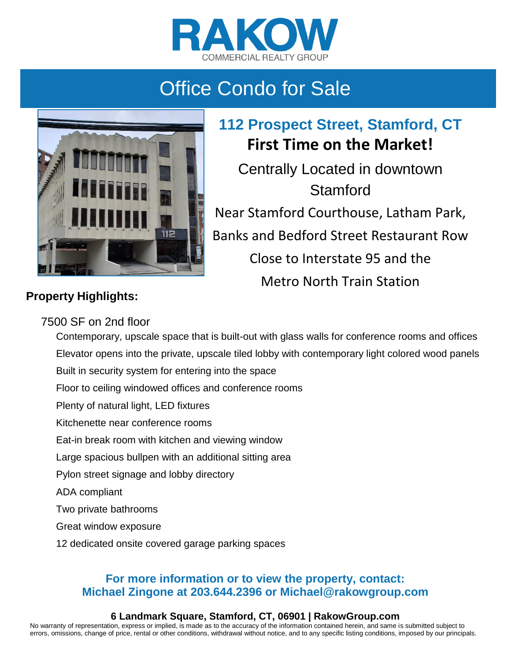



**112 Prospect Street, Stamford, CT First Time on the Market!** Centrally Located in downtown Stamford Near Stamford Courthouse, Latham Park, Banks and Bedford Street Restaurant Row Close to Interstate 95 and the Metro North Train Station

### **Property Highlights:**

### 7500 SF on 2nd floor

Contemporary, upscale space that is built-out with glass walls for conference rooms and offices Elevator opens into the private, upscale tiled lobby with contemporary light colored wood panels Built in security system for entering into the space Floor to ceiling windowed offices and conference rooms Plenty of natural light, LED fixtures Kitchenette near conference rooms Eat-in break room with kitchen and viewing window Large spacious bullpen with an additional sitting area Pylon street signage and lobby directory ADA compliant Two private bathrooms Great window exposure 12 dedicated onsite covered garage parking spaces

### **For more information or to view the property, contact: Michael Zingone at 203.644.2396 or Michael@rakowgroup.com**

#### **6 Landmark Square, Stamford, CT, 06901 | RakowGroup.com**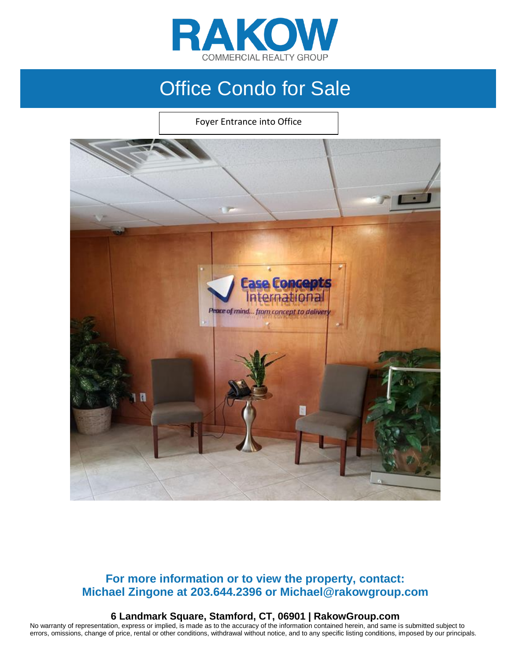

Foyer Entrance into Office



### **For more information or to view the property, contact: Michael Zingone at 203.644.2396 or Michael@rakowgroup.com**

#### **6 Landmark Square, Stamford, CT, 06901 | RakowGroup.com**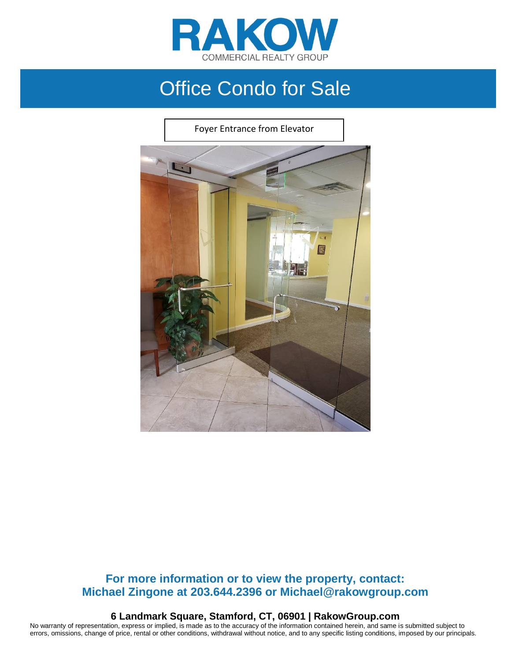

Foyer Entrance from Elevator



#### **For more information or to view the property, contact: Michael Zingone at 203.644.2396 or Michael@rakowgroup.com**

**6 Landmark Square, Stamford, CT, 06901 | RakowGroup.com**